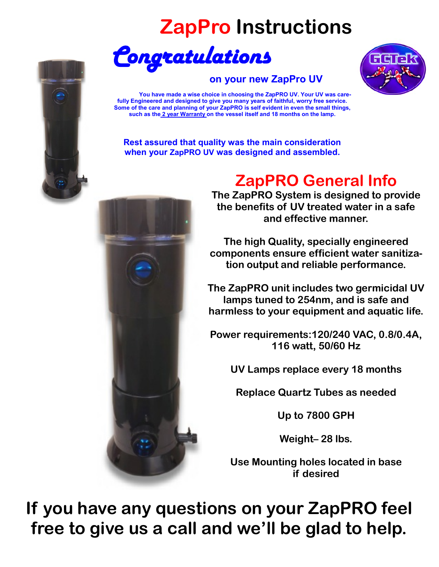# **ZapPro Instructions**



#### **on your new ZapPro UV**



 **You have made a wise choice in choosing the ZapPRO UV. Your UV was carefully Engineered and designed to give you many years of faithful, worry free service. Some of the care and planning of your ZapPRO is self evident in even the small things, such as the 2 year Warranty on the vessel itself and 18 months on the lamp.** 

**Rest assured that quality was the main consideration when your ZapPRO UV was designed and assembled.** 



# **ZapPRO General Info**

**The ZapPRO System is designed to provide the benefits of UV treated water in a safe and effective manner.** 

**The high Quality, specially engineered components ensure efficient water sanitization output and reliable performance.** 

**The ZapPRO unit includes two germicidal UV lamps tuned to 254nm, and is safe and harmless to your equipment and aquatic life.** 

**Power requirements:120/240 VAC, 0.8/0.4A, 116 watt, 50/60 Hz** 

**UV Lamps replace every 18 months** 

**Replace Quartz Tubes as needed** 

**Up to 7800 GPH** 

**Weight– 28 lbs.** 

**Use Mounting holes located in base if desired** 

**If you have any questions on your ZapPRO feel free to give us a call and we'll be glad to help.**